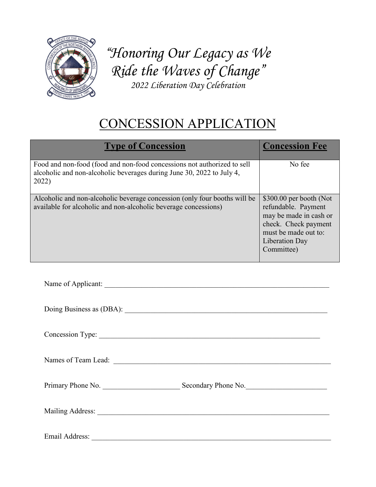

*"Honoring Our Legacy as We Ride the Waves of Change" 2022 Liberation Day Celebration* 

## CONCESSION APPLICATION

| <b>Type of Concession</b>                                                                                                                                 | <b>Concession Fee</b>                                                                                                                                     |
|-----------------------------------------------------------------------------------------------------------------------------------------------------------|-----------------------------------------------------------------------------------------------------------------------------------------------------------|
| Food and non-food (food and non-food concessions not authorized to sell<br>alcoholic and non-alcoholic beverages during June 30, 2022 to July 4,<br>2022) | No fee                                                                                                                                                    |
| Alcoholic and non-alcoholic beverage concession (only four booths will be<br>available for alcoholic and non-alcoholic beverage concessions)              | $$300.00$ per booth (Not<br>refundable. Payment<br>may be made in cash or<br>check. Check payment<br>must be made out to:<br>Liberation Day<br>Committee) |

| Name of Applicant: |  |
|--------------------|--|
|                    |  |

| Doing Business as (DBA): |  |
|--------------------------|--|
|                          |  |

Concession Type:

Names of Team Lead:  $\Box$ 

Primary Phone No. \_\_\_\_\_\_\_\_\_\_\_\_\_\_\_\_\_\_\_\_\_ Secondary Phone No.\_\_\_\_\_\_\_\_\_\_\_\_\_\_\_\_\_\_\_\_\_\_

Mailing Address:

Email Address: \_\_\_\_\_\_\_\_\_\_\_\_\_\_\_\_\_\_\_\_\_\_\_\_\_\_\_\_\_\_\_\_\_\_\_\_\_\_\_\_\_\_\_\_\_\_\_\_\_\_\_\_\_\_\_\_\_\_\_\_\_\_\_\_\_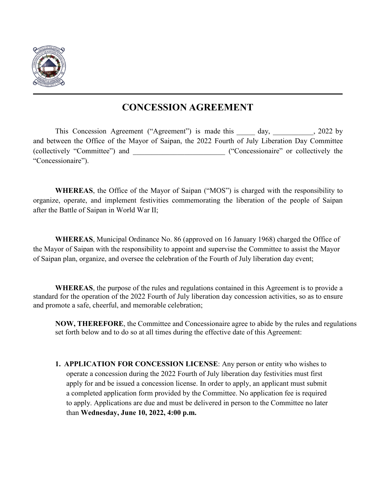

## **CONCESSION AGREEMENT**

This Concession Agreement ("Agreement") is made this day, 1022 by and between the Office of the Mayor of Saipan, the 2022 Fourth of July Liberation Day Committee (collectively "Committee") and  $($ "Concessionaire" or collectively the "Concessionaire").

**WHEREAS**, the Office of the Mayor of Saipan ("MOS") is charged with the responsibility to organize, operate, and implement festivities commemorating the liberation of the people of Saipan after the Battle of Saipan in World War II;

**WHEREAS**, Municipal Ordinance No. 86 (approved on 16 January 1968) charged the Office of the Mayor of Saipan with the responsibility to appoint and supervise the Committee to assist the Mayor of Saipan plan, organize, and oversee the celebration of the Fourth of July liberation day event;

**WHEREAS**, the purpose of the rules and regulations contained in this Agreement is to provide a standard for the operation of the 2022 Fourth of July liberation day concession activities, so as to ensure and promote a safe, cheerful, and memorable celebration;

**NOW, THEREFORE**, the Committee and Concessionaire agree to abide by the rules and regulations set forth below and to do so at all times during the effective date of this Agreement:

**1. APPLICATION FOR CONCESSION LICENSE**: Any person or entity who wishes to operate a concession during the 2022 Fourth of July liberation day festivities must first apply for and be issued a concession license. In order to apply, an applicant must submit a completed application form provided by the Committee. No application fee is required to apply. Applications are due and must be delivered in person to the Committee no later than **Wednesday, June 10, 2022, 4:00 p.m.**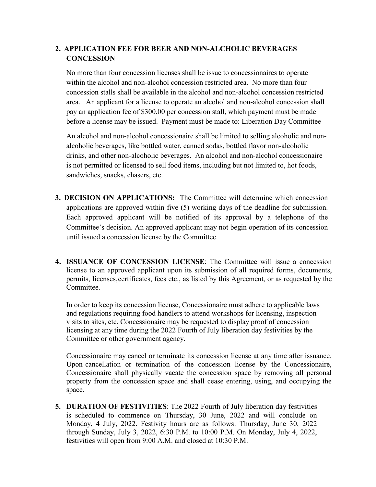## **2. APPLICATION FEE FOR BEER AND NON-ALCHOLIC BEVERAGES CONCESSION**

No more than four concession licenses shall be issue to concessionaires to operate within the alcohol and non-alcohol concession restricted area. No more than four concession stalls shall be available in the alcohol and non-alcohol concession restricted area. An applicant for a license to operate an alcohol and non-alcohol concession shall pay an application fee of \$300.00 per concession stall, which payment must be made before a license may be issued. Payment must be made to: Liberation Day Committee

An alcohol and non-alcohol concessionaire shall be limited to selling alcoholic and nonalcoholic beverages, like bottled water, canned sodas, bottled flavor non-alcoholic drinks, and other non-alcoholic beverages. An alcohol and non-alcohol concessionaire is not permitted or licensed to sell food items, including but not limited to, hot foods, sandwiches, snacks, chasers, etc.

- **3. DECISION ON APPLICATIONS:** The Committee will determine which concession applications are approved within five (5) working days of the deadline for submission. Each approved applicant will be notified of its approval by a telephone of the Committee's decision. An approved applicant may not begin operation of its concession until issued a concession license by the Committee.
- **4. ISSUANCE OF CONCESSION LICENSE**: The Committee will issue a concession license to an approved applicant upon its submission of all required forms, documents, permits, licenses, certificates, fees etc., as listed by this Agreement, or as requested by the Committee.

In order to keep its concession license, Concessionaire must adhere to applicable laws and regulations requiring food handlers to attend workshops for licensing, inspection visits to sites, etc. Concessionaire may be requested to display proof of concession licensing at any time during the 2022 Fourth of July liberation day festivities by the Committee or other government agency.

Concessionaire may cancel or terminate its concession license at any time after issuance. Upon cancellation or termination of the concession license by the Concessionaire, Concessionaire shall physically vacate the concession space by removing all personal property from the concession space and shall cease entering, using, and occupying the space.

**5. DURATION OF FESTIVITIES**: The 2022 Fourth of July liberation day festivities is scheduled to commence on Thursday, 30 June, 2022 and will conclude on Monday, 4 July, 2022. Festivity hours are as follows: Thursday, June 30, 2022 through Sunday, July 3, 2022, 6:30 P.M. to 10:00 P.M. On Monday, July 4, 2022, festivities will open from 9:00 A.M. and closed at 10:30 P.M.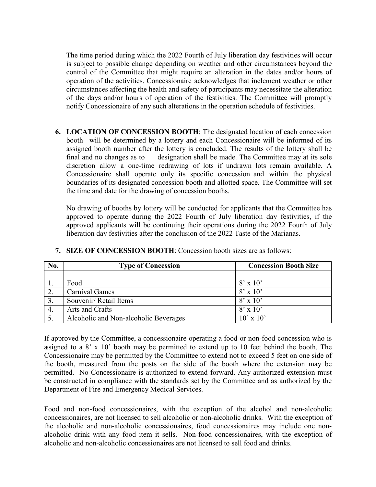The time period during which the 2022 Fourth of July liberation day festivities will occur is subject to possible change depending on weather and other circumstances beyond the control of the Committee that might require an alteration in the dates and/or hours of operation of the activities. Concessionaire acknowledges that inclement weather or other circumstances affecting the health and safety of participants may necessitate the alteration of the days and/or hours of operation of the festivities. The Committee will promptly notify Concessionaire of any such alterations in the operation schedule of festivities.

**6. LOCATION OF CONCESSION BOOTH**: The designated location of each concession booth will be determined by a lottery and each Concessionaire will be informed of its assigned booth number after the lottery is concluded. The results of the lottery shall be final and no changes as to designation shall be made. The Committee may at its sole discretion allow a one-time redrawing of lots if undrawn lots remain available. A Concessionaire shall operate only its specific concession and within the physical boundaries of its designated concession booth and allotted space. The Committee will set the time and date for the drawing of concession booths.

No drawing of booths by lottery will be conducted for applicants that the Committee has approved to operate during the 2022 Fourth of July liberation day festivities, if the approved applicants will be continuing their operations during the 2022 Fourth of July liberation day festivities after the conclusion of the 2022 Taste of the Marianas.

| No. | <b>Type of Concession</b>             | <b>Concession Booth Size</b> |
|-----|---------------------------------------|------------------------------|
|     |                                       |                              |
|     | Food                                  | $8' \times 10'$              |
|     | <b>Carnival Games</b>                 | $8' \times 10'$              |
| 3.  | Souvenir/ Retail Items                | $8' \times 10'$              |
|     | Arts and Crafts                       | $8' \times 10'$              |
|     | Alcoholic and Non-alcoholic Beverages | $10' \times 10'$             |

## **7. SIZE OF CONCESSION BOOTH**: Concession booth sizes are as follows:

If approved by the Committee, a concessionaire operating a food or non-food concession who is assigned to a 8' x 10' booth may be permitted to extend up to 10 feet behind the booth. The Concessionaire may be permitted by the Committee to extend not to exceed 5 feet on one side of the booth, measured from the posts on the side of the booth where the extension may be permitted. No Concessionaire is authorized to extend forward. Any authorized extension must be constructed in compliance with the standards set by the Committee and as authorized by the Department of Fire and Emergency Medical Services.

Food and non-food concessionaires, with the exception of the alcohol and non-alcoholic concessionaires, are not licensed to sell alcoholic or non-alcoholic drinks. With the exception of the alcoholic and non-alcoholic concessionaires, food concessionaires may include one nonalcoholic drink with any food item it sells. Non-food concessionaires, with the exception of alcoholic and non-alcoholic concessionaires are not licensed to sell food and drinks.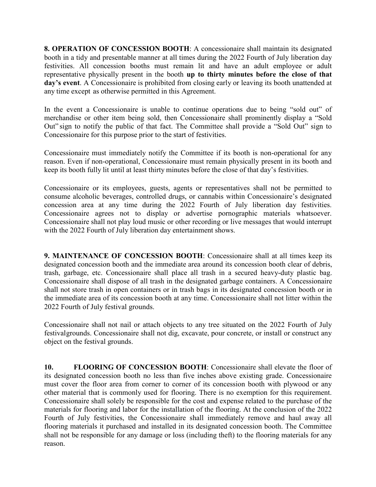**8. OPERATION OF CONCESSION BOOTH**: A concessionaire shall maintain its designated booth in a tidy and presentable manner at all times during the 2022 Fourth of July liberation day festivities. All concession booths must remain lit and have an adult employee or adult representative physically present in the booth **up to thirty minutes before the close of that day's event**. A Concessionaire is prohibited from closing early or leaving its booth unattended at any time except as otherwise permitted in this Agreement.

In the event a Concessionaire is unable to continue operations due to being "sold out" of merchandise or other item being sold, then Concessionaire shall prominently display a "Sold Out" sign to notify the public of that fact. The Committee shall provide a "Sold Out" sign to Concessionaire for this purpose prior to the start of festivities.

Concessionaire must immediately notify the Committee if its booth is non-operational for any reason. Even if non-operational, Concessionaire must remain physically present in its booth and keep its booth fully lit until at least thirty minutes before the close of that day's festivities.

Concessionaire or its employees, guests, agents or representatives shall not be permitted to consume alcoholic beverages, controlled drugs, or cannabis within Concessionaire's designated concession area at any time during the 2022 Fourth of July liberation day festivities. Concessionaire agrees not to display or advertise pornographic materials whatsoever. Concessionaire shall not play loud music or other recording or live messages that would interrupt with the 2022 Fourth of July liberation day entertainment shows.

**9. MAINTENANCE OF CONCESSION BOOTH**: Concessionaire shall at all times keep its designated concession booth and the immediate area around its concession booth clear of debris, trash, garbage, etc. Concessionaire shall place all trash in a secured heavy-duty plastic bag. Concessionaire shall dispose of all trash in the designated garbage containers. A Concessionaire shall not store trash in open containers or in trash bags in its designated concession booth or in the immediate area of its concession booth at any time. Concessionaire shall not litter within the 2022 Fourth of July festival grounds.

Concessionaire shall not nail or attach objects to any tree situated on the 2022 Fourth of July festival grounds. Concessionaire shall not dig, excavate, pour concrete, or install or construct any object on the festival grounds.

**10. FLOORING OF CONCESSION BOOTH**: Concessionaire shall elevate the floor of its designated concession booth no less than five inches above existing grade. Concessionaire must cover the floor area from corner to corner of its concession booth with plywood or any other material that is commonly used for flooring. There is no exemption for this requirement. Concessionaire shall solely be responsible for the cost and expense related to the purchase of the materials for flooring and labor for the installation of the flooring. At the conclusion of the 2022 Fourth of July festivities, the Concessionaire shall immediately remove and haul away all flooring materials it purchased and installed in its designated concession booth. The Committee shall not be responsible for any damage or loss (including theft) to the flooring materials for any reason.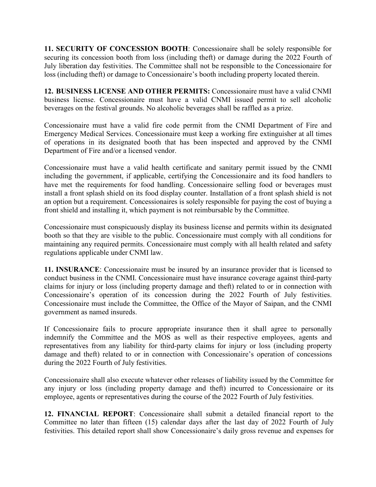**11. SECURITY OF CONCESSION BOOTH**: Concessionaire shall be solely responsible for securing its concession booth from loss (including theft) or damage during the 2022 Fourth of July liberation day festivities. The Committee shall not be responsible to the Concessionaire for loss (including theft) or damage to Concessionaire's booth including property located therein.

**12. BUSINESS LICENSE AND OTHER PERMITS:** Concessionaire must have a valid CNMI business license. Concessionaire must have a valid CNMI issued permit to sell alcoholic beverages on the festival grounds. No alcoholic beverages shall be raffled as a prize.

Concessionaire must have a valid fire code permit from the CNMI Department of Fire and Emergency Medical Services. Concessionaire must keep a working fire extinguisher at all times of operations in its designated booth that has been inspected and approved by the CNMI Department of Fire and/or a licensed vendor.

Concessionaire must have a valid health certificate and sanitary permit issued by the CNMI including the government, if applicable, certifying the Concessionaire and its food handlers to have met the requirements for food handling. Concessionaire selling food or beverages must install a front splash shield on its food display counter. Installation of a front splash shield is not an option but a requirement. Concessionaires is solely responsible for paying the cost of buying a front shield and installing it, which payment is not reimbursable by the Committee.

Concessionaire must conspicuously display its business license and permits within its designated booth so that they are visible to the public. Concessionaire must comply with all conditions for maintaining any required permits. Concessionaire must comply with all health related and safety regulations applicable under CNMI law.

**11. INSURANCE**: Concessionaire must be insured by an insurance provider that is licensed to conduct business in the CNMI. Concessionaire must have insurance coverage against third-party claims for injury or loss (including property damage and theft) related to or in connection with Concessionaire's operation of its concession during the 2022 Fourth of July festivities. Concessionaire must include the Committee, the Office of the Mayor of Saipan, and the CNMI government as named insureds.

If Concessionaire fails to procure appropriate insurance then it shall agree to personally indemnify the Committee and the MOS as well as their respective employees, agents and representatives from any liability for third-party claims for injury or loss (including property damage and theft) related to or in connection with Concessionaire's operation of concessions during the 2022 Fourth of July festivities.

Concessionaire shall also execute whatever other releases of liability issued by the Committee for any injury or loss (including property damage and theft) incurred to Concessionaire or its employee, agents or representatives during the course of the 2022 Fourth of July festivities.

**12. FINANCIAL REPORT**: Concessionaire shall submit a detailed financial report to the Committee no later than fifteen (15) calendar days after the last day of 2022 Fourth of July festivities. This detailed report shall show Concessionaire's daily gross revenue and expenses for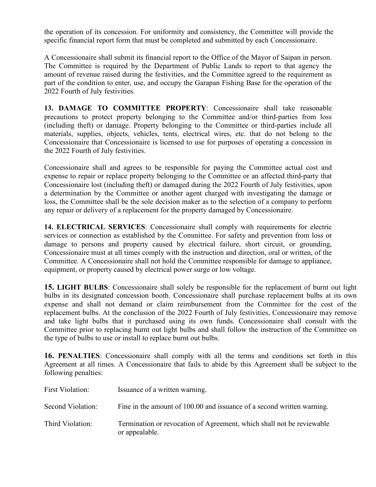the operation of its concession. For uniformity and consistency, the Committee will provide the specific financial report form that must be completed and submitted by each Concessionaire.

A Concessionaire shall submit its financial report to the Office of the Mayor of Saipan in person. The Committee is required by the Department of Public Lands to report to that agency the amount of revenue raised during the festivities, and the Committee agreed to the requirement as part of the condition to enter, use, and occupy the Garapan Fishing Base for the operation of the 2022 Fourth of July festivities.

**13. DAMAGE TO COMMITTEE PROPERTY**: Concessionaire shall take reasonable precautions to protect property belonging to the Committee and/or third-parties from loss (including theft) or damage. Property belonging to the Committee or third-parties include all materials, supplies, objects, vehicles, tents, electrical wires, etc. that do not belong to the Concessionaire that Concessionaire is licensed to use for purposes of operating a concession in the 2022 Fourth of July festivities.

Concessionaire shall and agrees to be responsible for paying the Committee actual cost and expense to repair or replace property belonging to the Committee or an affected third-party that Concessionaire lost (including theft) or damaged during the 2022 Fourth of July festivities, upon a determination by the Committee or another agent charged with investigating the damage or loss, the Committee shall be the sole decision maker as to the selection of a company to perform any repair or delivery of a replacement for the property damaged by Concessionaire.

**14. ELECTRICAL SERVICES**: Concessionaire shall comply with requirements for electric services or connection as established by the Committee. For safety and prevention from loss or damage to persons and property caused by electrical failure, short circuit, or grounding, Concessionaire must at all times comply with the instruction and direction, oral or written, of the Committee. A Concessionaire shall not hold the Committee responsible for damage to appliance, equipment, or property caused by electrical power surge or low voltage.

**15. LIGHT BULBS**: Concessionaire shall solely be responsible for the replacement of burnt out light bulbs in its designated concession booth. Concessionaire shall purchase replacement bulbs at its own expense and shall not demand or claim reimbursement from the Committee for the cost of the replacement bulbs. At the conclusion of the 2022 Fourth of July festivities, Concessionaire may remove and take light bulbs that it purchased using its own funds. Concessionaire shall consult with the Committee prior to replacing burnt out light bulbs and shall follow the instruction of the Committee on the type of bulbs to use or install to replace burnt out bulbs.

**16. PENALTIES**: Concessionaire shall comply with all the terms and conditions set forth in this Agreement at all times. A Concessionaire that fails to abide by this Agreement shall be subject to the following penalties:

| <b>First Violation:</b> | Issuance of a written warning.                                                          |
|-------------------------|-----------------------------------------------------------------------------------------|
| Second Violation:       | Fine in the amount of 100.00 and issuance of a second written warning.                  |
| Third Violation:        | Termination or revocation of Agreement, which shall not be reviewable<br>or appealable. |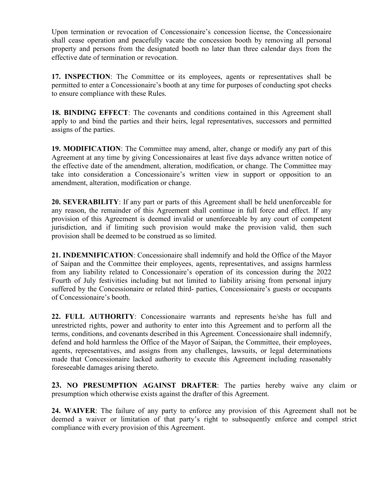Upon termination or revocation of Concessionaire's concession license, the Concessionaire shall cease operation and peacefully vacate the concession booth by removing all personal property and persons from the designated booth no later than three calendar days from the effective date of termination or revocation.

**17. INSPECTION**: The Committee or its employees, agents or representatives shall be permitted to enter a Concessionaire's booth at any time for purposes of conducting spot checks to ensure compliance with these Rules.

**18. BINDING EFFECT**: The covenants and conditions contained in this Agreement shall apply to and bind the parties and their heirs, legal representatives, successors and permitted assigns of the parties.

**19. MODIFICATION**: The Committee may amend, alter, change or modify any part of this Agreement at any time by giving Concessionaires at least five days advance written notice of the effective date of the amendment, alteration, modification, or change. The Committee may take into consideration a Concessionaire's written view in support or opposition to an amendment, alteration, modification or change.

**20. SEVERABILITY**: If any part or parts of this Agreement shall be held unenforceable for any reason, the remainder of this Agreement shall continue in full force and effect. If any provision of this Agreement is deemed invalid or unenforceable by any court of competent jurisdiction, and if limiting such provision would make the provision valid, then such provision shall be deemed to be construed as so limited.

**21. INDEMNIFICATION**: Concessionaire shall indemnify and hold the Office of the Mayor of Saipan and the Committee their employees, agents, representatives, and assigns harmless from any liability related to Concessionaire's operation of its concession during the 2022 Fourth of July festivities including but not limited to liability arising from personal injury suffered by the Concessionaire or related third- parties, Concessionaire's guests or occupants of Concessionaire's booth.

**22. FULL AUTHORITY**: Concessionaire warrants and represents he/she has full and unrestricted rights, power and authority to enter into this Agreement and to perform all the terms, conditions, and covenants described in this Agreement. Concessionaire shall indemnify, defend and hold harmless the Office of the Mayor of Saipan, the Committee, their employees, agents, representatives, and assigns from any challenges, lawsuits, or legal determinations made that Concessionaire lacked authority to execute this Agreement including reasonably foreseeable damages arising thereto.

**23. NO PRESUMPTION AGAINST DRAFTER**: The parties hereby waive any claim or presumption which otherwise exists against the drafter of this Agreement.

**24. WAIVER**: The failure of any party to enforce any provision of this Agreement shall not be deemed a waiver or limitation of that party's right to subsequently enforce and compel strict compliance with every provision of this Agreement.